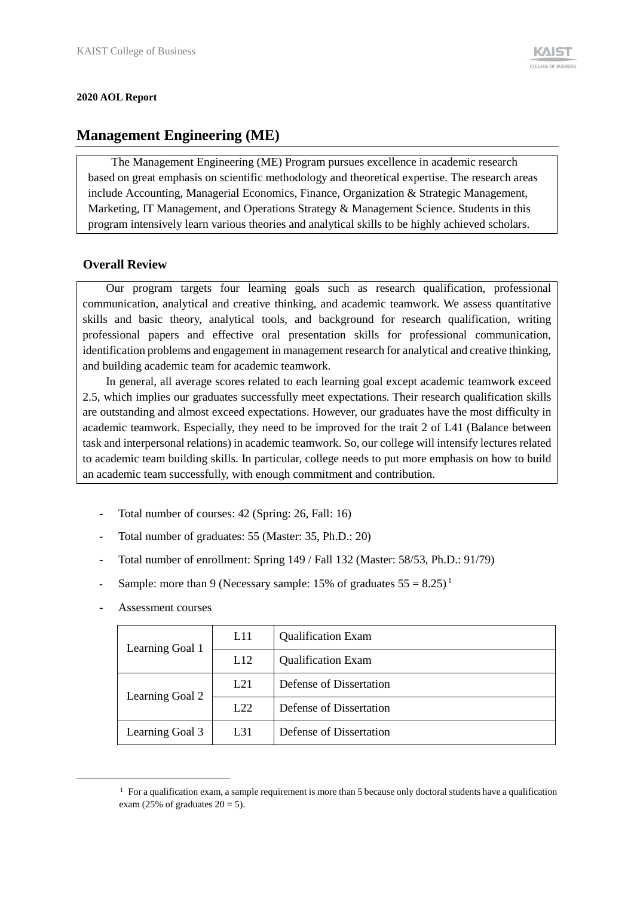#### **2020 AOL Report**

# **Management Engineering (ME)**

The Management Engineering (ME) Program pursues excellence in academic research based on great emphasis on scientific methodology and theoretical expertise. The research areas include Accounting, Managerial Economics, Finance, Organization & Strategic Management, Marketing, IT Management, and Operations Strategy & Management Science. Students in this program intensively learn various theories and analytical skills to be highly achieved scholars.

## **Overall Review**

Our program targets four learning goals such as research qualification, professional communication, analytical and creative thinking, and academic teamwork. We assess quantitative skills and basic theory, analytical tools, and background for research qualification, writing professional papers and effective oral presentation skills for professional communication, identification problems and engagement in management research for analytical and creative thinking, and building academic team for academic teamwork.

In general, all average scores related to each learning goal except academic teamwork exceed 2.5, which implies our graduates successfully meet expectations. Their research qualification skills are outstanding and almost exceed expectations. However, our graduates have the most difficulty in academic teamwork. Especially, they need to be improved for the trait 2 of L41 (Balance between task and interpersonal relations) in academic teamwork. So, our college will intensify lectures related to academic team building skills. In particular, college needs to put more emphasis on how to build an academic team successfully, with enough commitment and contribution.

- Total number of courses: 42 (Spring: 26, Fall: 16)
- Total number of graduates: 55 (Master: 35, Ph.D.: 20)
- Total number of enrollment: Spring 149 / Fall 132 (Master: 58/53, Ph.D.: 91/79)
- Sample: more than 9 (Necessary sample: 15% of graduates  $55 = 8.25$ )<sup>1</sup>
- Assessment courses

-

| Learning Goal 1 | L11      | <b>Qualification Exam</b> |
|-----------------|----------|---------------------------|
|                 | L12      | <b>Qualification Exam</b> |
| Learning Goal 2 | L21      | Defense of Dissertation   |
|                 | L22      | Defense of Dissertation   |
| Learning Goal 3 | $L_{31}$ | Defense of Dissertation   |

 $1$  For a qualification exam, a sample requirement is more than 5 because only doctoral students have a qualification exam (25% of graduates  $20 = 5$ ).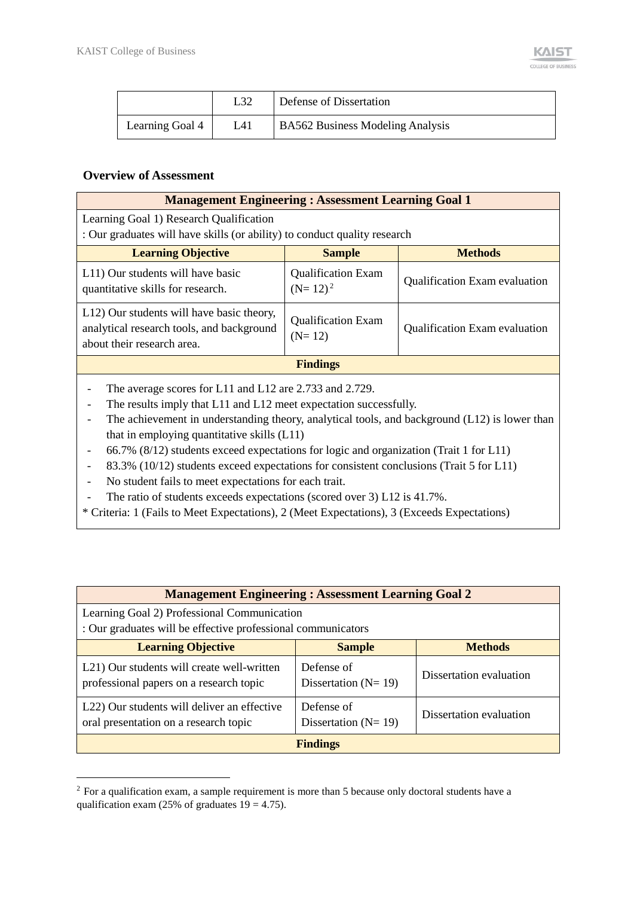|                 |     | Defense of Dissertation                 |
|-----------------|-----|-----------------------------------------|
| Learning Goal 4 | L41 | <b>BA562 Business Modeling Analysis</b> |

## **Overview of Assessment**

-

| <b>Management Engineering: Assessment Learning Goal 1</b>                                                                                                                                                                                                                                                                                                              |                                         |                               |  |  |  |  |  |  |
|------------------------------------------------------------------------------------------------------------------------------------------------------------------------------------------------------------------------------------------------------------------------------------------------------------------------------------------------------------------------|-----------------------------------------|-------------------------------|--|--|--|--|--|--|
| Learning Goal 1) Research Qualification                                                                                                                                                                                                                                                                                                                                |                                         |                               |  |  |  |  |  |  |
| : Our graduates will have skills (or ability) to conduct quality research                                                                                                                                                                                                                                                                                              |                                         |                               |  |  |  |  |  |  |
| <b>Learning Objective</b>                                                                                                                                                                                                                                                                                                                                              | <b>Sample</b>                           | <b>Methods</b>                |  |  |  |  |  |  |
| L11) Our students will have basic<br>quantitative skills for research.                                                                                                                                                                                                                                                                                                 | <b>Qualification Exam</b><br>$(N=12)^2$ | Qualification Exam evaluation |  |  |  |  |  |  |
| L12) Our students will have basic theory,<br>analytical research tools, and background<br>about their research area.                                                                                                                                                                                                                                                   | <b>Qualification Exam</b><br>$(N=12)$   | Qualification Exam evaluation |  |  |  |  |  |  |
|                                                                                                                                                                                                                                                                                                                                                                        | <b>Findings</b>                         |                               |  |  |  |  |  |  |
| The average scores for L11 and L12 are 2.733 and 2.729.<br>The results imply that L11 and L12 meet expectation successfully.<br>The achievement in understanding theory, analytical tools, and background (L12) is lower than<br>that in employing quantitative skills (L11)<br>66.7% (8/12) students exceed expectations for logic and organization (Trait 1 for L11) |                                         |                               |  |  |  |  |  |  |
| 83.3% (10/12) students exceed expectations for consistent conclusions (Trait 5 for L11)                                                                                                                                                                                                                                                                                |                                         |                               |  |  |  |  |  |  |

- No student fails to meet expectations for each trait.
- The ratio of students exceeds expectations (scored over 3) L12 is 41.7%.
- \* Criteria: 1 (Fails to Meet Expectations), 2 (Meet Expectations), 3 (Exceeds Expectations)

| <b>Management Engineering: Assessment Learning Goal 2</b>                                                   |                                         |                         |
|-------------------------------------------------------------------------------------------------------------|-----------------------------------------|-------------------------|
| Learning Goal 2) Professional Communication<br>: Our graduates will be effective professional communicators |                                         |                         |
| <b>Learning Objective</b>                                                                                   | <b>Sample</b>                           | <b>Methods</b>          |
| L21) Our students will create well-written<br>professional papers on a research topic                       | Defense of<br>Dissertation ( $N = 19$ ) | Dissertation evaluation |
| L22) Our students will deliver an effective<br>oral presentation on a research topic                        | Defense of<br>Dissertation ( $N = 19$ ) | Dissertation evaluation |
|                                                                                                             | <b>Findings</b>                         |                         |

<sup>&</sup>lt;sup>2</sup> For a qualification exam, a sample requirement is more than 5 because only doctoral students have a qualification exam (25% of graduates  $19 = 4.75$ ).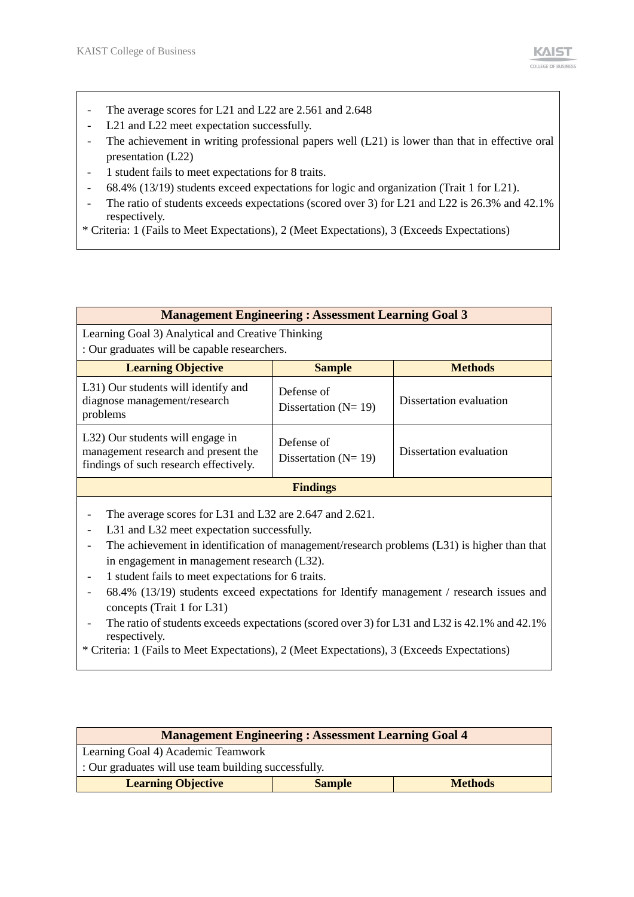- The average scores for L21 and L22 are 2.561 and 2.648
- L21 and L22 meet expectation successfully.
- The achievement in writing professional papers well (L21) is lower than that in effective oral presentation (L22)
- 1 student fails to meet expectations for 8 traits.
- 68.4% (13/19) students exceed expectations for logic and organization (Trait 1 for L21).
- The ratio of students exceeds expectations (scored over 3) for L21 and L22 is 26.3% and 42.1% respectively.
- \* Criteria: 1 (Fails to Meet Expectations), 2 (Meet Expectations), 3 (Exceeds Expectations)

|                                                                                                                                                                                                                                                                                                            | <b>Management Engineering: Assessment Learning Goal 3</b> |                         |
|------------------------------------------------------------------------------------------------------------------------------------------------------------------------------------------------------------------------------------------------------------------------------------------------------------|-----------------------------------------------------------|-------------------------|
| Learning Goal 3) Analytical and Creative Thinking<br>: Our graduates will be capable researchers.                                                                                                                                                                                                          |                                                           |                         |
| <b>Learning Objective</b>                                                                                                                                                                                                                                                                                  | <b>Sample</b>                                             | <b>Methods</b>          |
| L31) Our students will identify and<br>diagnose management/research<br>problems                                                                                                                                                                                                                            | Defense of<br>Dissertation ( $N = 19$ )                   | Dissertation evaluation |
| L32) Our students will engage in<br>management research and present the<br>findings of such research effectively.                                                                                                                                                                                          | Defense of<br>Dissertation ( $N = 19$ )                   | Dissertation evaluation |
|                                                                                                                                                                                                                                                                                                            | <b>Findings</b>                                           |                         |
| The average scores for L31 and L32 are 2.647 and 2.621.<br>L31 and L32 meet expectation successfully.<br>The achievement in identification of management/research problems $(L31)$ is higher than that<br>in engagement in management research (L32).<br>1 student foils to meet expectations for 6 traits |                                                           |                         |

- 1 student fails to meet expectations for 6 traits.
- 68.4% (13/19) students exceed expectations for Identify management / research issues and concepts (Trait 1 for L31)
- The ratio of students exceeds expectations (scored over 3) for L31 and L32 is 42.1% and 42.1% respectively.
- \* Criteria: 1 (Fails to Meet Expectations), 2 (Meet Expectations), 3 (Exceeds Expectations)

| <b>Management Engineering: Assessment Learning Goal 4</b> |               |                |  |  |  |  |  |  |
|-----------------------------------------------------------|---------------|----------------|--|--|--|--|--|--|
| Learning Goal 4) Academic Teamwork                        |               |                |  |  |  |  |  |  |
| : Our graduates will use team building successfully.      |               |                |  |  |  |  |  |  |
| <b>Learning Objective</b>                                 | <b>Sample</b> | <b>Methods</b> |  |  |  |  |  |  |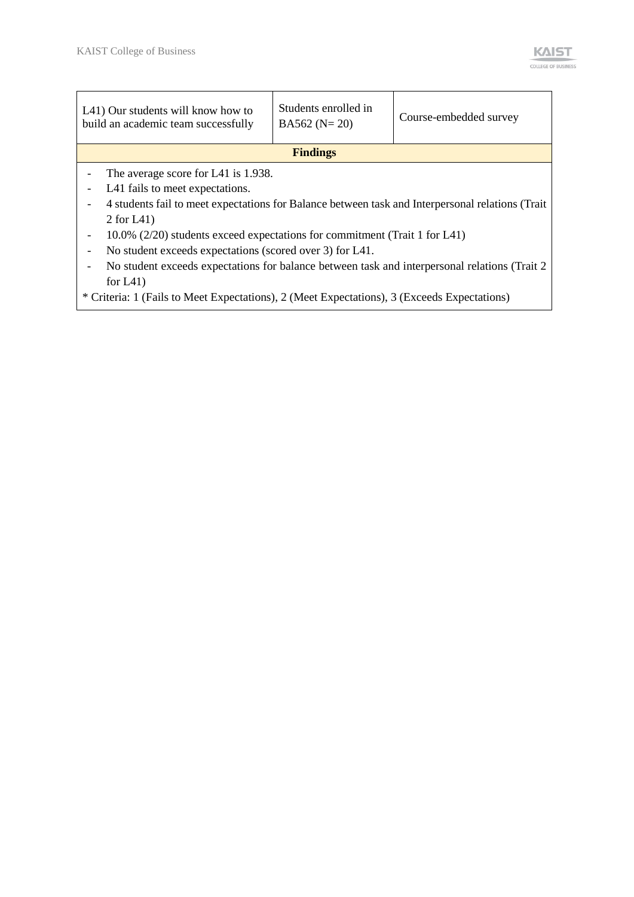|                          | L41) Our students will know how to<br>build an academic team successfully                        | Students enrolled in<br>$BA562 (N=20)$ | Course-embedded survey |  |  |
|--------------------------|--------------------------------------------------------------------------------------------------|----------------------------------------|------------------------|--|--|
|                          |                                                                                                  | <b>Findings</b>                        |                        |  |  |
|                          | The average score for L41 is 1.938.                                                              |                                        |                        |  |  |
|                          | L41 fails to meet expectations.                                                                  |                                        |                        |  |  |
|                          | 4 students fail to meet expectations for Balance between task and Interpersonal relations (Trait |                                        |                        |  |  |
|                          | 2 for $L(41)$                                                                                    |                                        |                        |  |  |
| $\overline{\phantom{a}}$ | 10.0% (2/20) students exceed expectations for commitment (Trait 1 for L41)                       |                                        |                        |  |  |
|                          | No student exceeds expectations (scored over 3) for L41.                                         |                                        |                        |  |  |
|                          | No student exceeds expectations for balance between task and interpersonal relations (Trait 2)   |                                        |                        |  |  |
|                          | for $L41$ )                                                                                      |                                        |                        |  |  |
|                          | * Criteria: 1 (Fails to Meet Expectations), 2 (Meet Expectations), 3 (Exceeds Expectations)      |                                        |                        |  |  |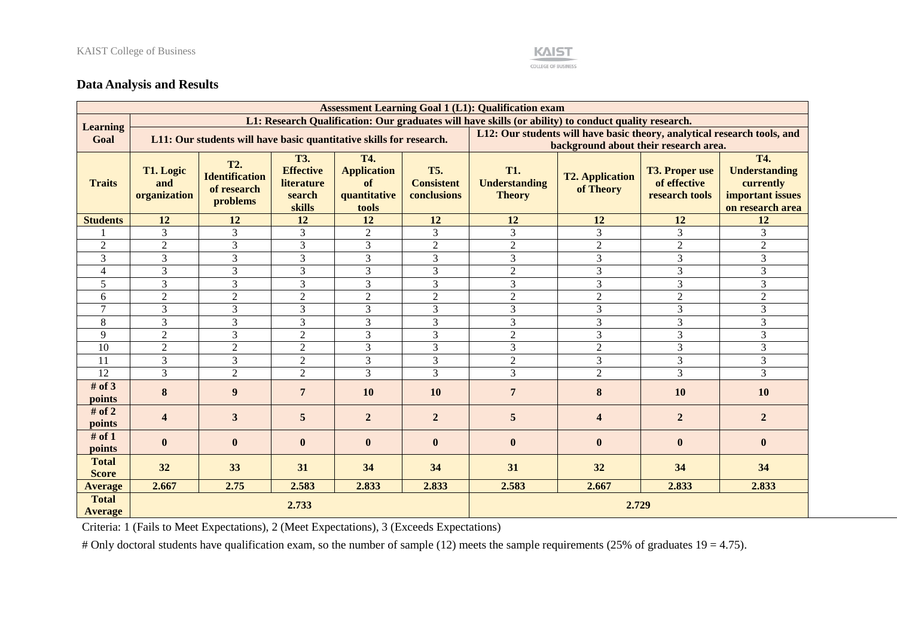#### **KAIST COLLEGE OF BUSINESS**

### **Data Analysis and Results**

|                                |                                  |                                                                     |                                                                         |                                                                 |                                                | <b>Assessment Learning Goal 1 (L1): Qualification exam</b>                                           |                                     |                                                         |                                                                                         |  |
|--------------------------------|----------------------------------|---------------------------------------------------------------------|-------------------------------------------------------------------------|-----------------------------------------------------------------|------------------------------------------------|------------------------------------------------------------------------------------------------------|-------------------------------------|---------------------------------------------------------|-----------------------------------------------------------------------------------------|--|
| <b>Learning</b>                |                                  |                                                                     |                                                                         |                                                                 |                                                | L1: Research Qualification: Our graduates will have skills (or ability) to conduct quality research. |                                     |                                                         |                                                                                         |  |
| Goal                           |                                  | L11: Our students will have basic quantitative skills for research. |                                                                         |                                                                 |                                                | L12: Our students will have basic theory, analytical research tools, and                             |                                     |                                                         |                                                                                         |  |
|                                |                                  |                                                                     |                                                                         |                                                                 |                                                | background about their research area.                                                                |                                     |                                                         |                                                                                         |  |
| <b>Traits</b>                  | T1. Logic<br>and<br>organization | <b>T2.</b><br><b>Identification</b><br>of research<br>problems      | <b>T3.</b><br><b>Effective</b><br><b>literature</b><br>search<br>skills | <b>T4.</b><br><b>Application</b><br>of<br>quantitative<br>tools | <b>T5.</b><br><b>Consistent</b><br>conclusions | <b>T1.</b><br><b>Understanding</b><br><b>Theory</b>                                                  | <b>T2. Application</b><br>of Theory | <b>T3. Proper use</b><br>of effective<br>research tools | <b>T4.</b><br><b>Understanding</b><br>currently<br>important issues<br>on research area |  |
| <b>Students</b>                | 12                               | 12                                                                  | 12                                                                      | 12                                                              | 12                                             | 12                                                                                                   | 12                                  | 12                                                      | 12                                                                                      |  |
|                                | 3                                | 3                                                                   | 3                                                                       | $\overline{2}$                                                  | 3                                              | 3                                                                                                    | 3                                   | 3                                                       | 3                                                                                       |  |
| $\overline{2}$                 | $\overline{2}$                   | 3                                                                   | 3                                                                       | 3                                                               | $\overline{c}$                                 | $\overline{2}$                                                                                       | $\sqrt{2}$                          | $\overline{c}$                                          | $\sqrt{2}$                                                                              |  |
| 3                              | 3                                | 3                                                                   | 3                                                                       | 3                                                               | 3                                              | $\overline{3}$                                                                                       | 3                                   | 3                                                       | 3                                                                                       |  |
| $\overline{4}$                 | 3                                | 3                                                                   | 3                                                                       | 3                                                               | 3                                              | $\mathfrak{2}$                                                                                       | 3                                   | 3                                                       | 3                                                                                       |  |
| 5                              | $\overline{3}$                   | $\overline{3}$                                                      | $\overline{3}$                                                          | 3                                                               | 3                                              | 3                                                                                                    | 3                                   | 3                                                       | 3                                                                                       |  |
| 6                              | $\overline{2}$                   | $\overline{2}$                                                      | $\overline{2}$                                                          | $\overline{2}$                                                  | $\overline{2}$                                 | $\sqrt{2}$                                                                                           | $\overline{c}$                      | $\overline{c}$                                          | $\overline{2}$                                                                          |  |
| $\overline{7}$                 | 3                                | 3                                                                   | 3                                                                       | 3                                                               | 3                                              | 3                                                                                                    | 3                                   | 3                                                       | 3                                                                                       |  |
| 8                              | 3                                | 3                                                                   | 3                                                                       | 3                                                               | 3                                              | 3                                                                                                    | 3                                   | 3                                                       | 3                                                                                       |  |
| 9                              | $\overline{2}$                   | 3                                                                   | $\overline{2}$                                                          | 3                                                               | 3                                              | $\sqrt{2}$                                                                                           | 3                                   | 3                                                       | 3                                                                                       |  |
| 10                             | 2                                | $\overline{2}$                                                      | $\overline{2}$                                                          | 3                                                               | 3                                              | 3                                                                                                    | $\overline{2}$                      | 3                                                       | 3                                                                                       |  |
| 11                             | $\overline{3}$                   | $\overline{3}$                                                      | $\overline{2}$                                                          | $\overline{3}$                                                  | 3                                              | $\overline{2}$                                                                                       | 3                                   | 3                                                       | $\mathfrak{Z}$                                                                          |  |
| 12                             | $\overline{3}$                   | $\overline{2}$                                                      | $\overline{2}$                                                          | $\overline{3}$                                                  | 3                                              | 3                                                                                                    | $\overline{2}$                      | 3                                                       | 3                                                                                       |  |
| # of $3$<br>points             | $\bf{8}$                         | 9                                                                   | $7\phantom{.0}$                                                         | 10                                                              | 10                                             | $\overline{7}$                                                                                       | 8                                   | 10                                                      | 10                                                                                      |  |
| # of $2$<br>points             | $\overline{\mathbf{4}}$          | 3                                                                   | 5                                                                       | $\overline{2}$                                                  | $\overline{2}$                                 | 5                                                                                                    | $\overline{\mathbf{4}}$             | $\overline{2}$                                          | $\overline{2}$                                                                          |  |
| # of $1$<br>points             | $\bf{0}$                         | $\bf{0}$                                                            | $\bf{0}$                                                                | $\mathbf{0}$                                                    | $\bf{0}$                                       | $\bf{0}$                                                                                             | $\bf{0}$                            | $\bf{0}$                                                | $\bf{0}$                                                                                |  |
| <b>Total</b><br><b>Score</b>   | 32                               | 33                                                                  | 31                                                                      | 34                                                              | 34                                             | 31                                                                                                   | 32                                  | 34                                                      | 34                                                                                      |  |
| <b>Average</b>                 | 2.667                            | 2.75                                                                | 2.583                                                                   | 2.833                                                           | 2.833                                          | 2.583                                                                                                | 2.667                               | 2.833                                                   | 2.833                                                                                   |  |
| <b>Total</b><br><b>Average</b> |                                  |                                                                     | 2.733                                                                   |                                                                 |                                                |                                                                                                      | 2.729                               |                                                         |                                                                                         |  |

Criteria: 1 (Fails to Meet Expectations), 2 (Meet Expectations), 3 (Exceeds Expectations)

# Only doctoral students have qualification exam, so the number of sample (12) meets the sample requirements (25% of graduates  $19 = 4.75$ ).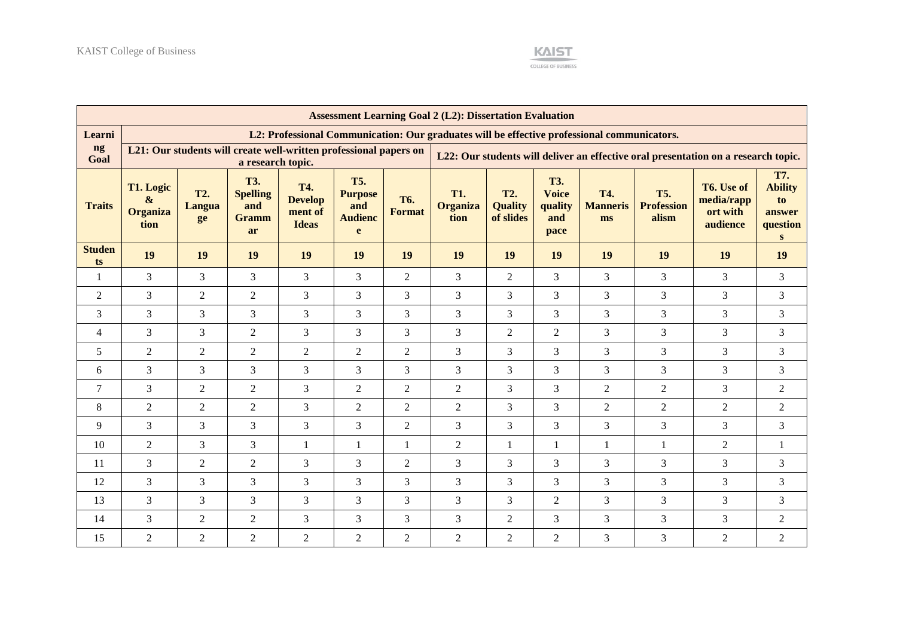

|                     |                                                                                        |                            |                                                            |                                                         |                                                            |                             | <b>Assessment Learning Goal 2 (L2): Dissertation Evaluation</b>                             |                                           |                                                      |                                     |                                          |                                                  |                                                   |
|---------------------|----------------------------------------------------------------------------------------|----------------------------|------------------------------------------------------------|---------------------------------------------------------|------------------------------------------------------------|-----------------------------|---------------------------------------------------------------------------------------------|-------------------------------------------|------------------------------------------------------|-------------------------------------|------------------------------------------|--------------------------------------------------|---------------------------------------------------|
| Learni              |                                                                                        |                            |                                                            |                                                         |                                                            |                             | L2: Professional Communication: Our graduates will be effective professional communicators. |                                           |                                                      |                                     |                                          |                                                  |                                                   |
| ng<br>Goal          | L21: Our students will create well-written professional papers on<br>a research topic. |                            |                                                            |                                                         |                                                            |                             | L22: Our students will deliver an effective oral presentation on a research topic.          |                                           |                                                      |                                     |                                          |                                                  |                                                   |
| <b>Traits</b>       | T1. Logic<br>&<br><b>Organiza</b><br>tion                                              | <b>T2.</b><br>Langua<br>ge | <b>T3.</b><br><b>Spelling</b><br>and<br><b>Gramm</b><br>ar | <b>T4.</b><br><b>Develop</b><br>ment of<br><b>Ideas</b> | <b>T5.</b><br><b>Purpose</b><br>and<br><b>Audienc</b><br>e | <b>T6.</b><br><b>Format</b> | <b>T1.</b><br><b>Organiza</b><br>tion                                                       | <b>T2.</b><br><b>Quality</b><br>of slides | <b>T3.</b><br><b>Voice</b><br>quality<br>and<br>pace | <b>T4.</b><br><b>Manneris</b><br>ms | <b>T5.</b><br><b>Profession</b><br>alism | T6. Use of<br>media/rapp<br>ort with<br>audience | T7.<br><b>Ability</b><br>to<br>answer<br>question |
| <b>Studen</b><br>ts | 19                                                                                     | 19                         | 19                                                         | 19                                                      | 19                                                         | 19                          | 19                                                                                          | 19                                        | 19                                                   | 19                                  | 19                                       | 19                                               | 19                                                |
| 1                   | 3                                                                                      | 3                          | $\overline{3}$                                             | $\overline{3}$                                          | 3                                                          | 2                           | $\overline{3}$                                                                              | $\overline{2}$                            | $\overline{3}$                                       | $\overline{3}$                      | $\overline{3}$                           | $\overline{3}$                                   | $\overline{3}$                                    |
| $\overline{2}$      | 3                                                                                      | $\overline{2}$             | $\overline{2}$                                             | $\overline{3}$                                          | 3                                                          | 3                           | $\overline{3}$                                                                              | 3                                         | $\overline{3}$                                       | 3                                   | $\overline{3}$                           | 3                                                | 3                                                 |
| 3                   | 3                                                                                      | 3                          | $\overline{3}$                                             | $\overline{3}$                                          | 3                                                          | 3                           | $\overline{3}$                                                                              | $\overline{3}$                            | 3                                                    | $\overline{3}$                      | $\overline{3}$                           | $\overline{3}$                                   | 3                                                 |
| $\overline{4}$      | $\overline{3}$                                                                         | $\overline{3}$             | $\overline{2}$                                             | $\overline{3}$                                          | $\mathfrak{Z}$                                             | 3                           | $\mathfrak{Z}$                                                                              | $\overline{2}$                            | $\overline{2}$                                       | 3                                   | $\overline{3}$                           | 3                                                | $\overline{3}$                                    |
| 5                   | $\overline{2}$                                                                         | $\mathbf{2}$               | $\overline{2}$                                             | $\overline{2}$                                          | $\mathfrak{2}$                                             | $\overline{2}$              | 3                                                                                           | 3                                         | 3                                                    | 3                                   | 3                                        | 3                                                | 3                                                 |
| 6                   | 3                                                                                      | 3                          | $\overline{3}$                                             | $\overline{3}$                                          | 3                                                          | 3                           | $\overline{3}$                                                                              | 3                                         | $\overline{3}$                                       | 3                                   | $\overline{3}$                           | 3                                                | 3                                                 |
| $\overline{7}$      | $\overline{3}$                                                                         | $\overline{2}$             | $\overline{2}$                                             | $\overline{3}$                                          | 2                                                          | $\overline{2}$              | 2                                                                                           | 3                                         | $\overline{3}$                                       | $\overline{2}$                      | $\overline{2}$                           | $\overline{3}$                                   | $\overline{2}$                                    |
| 8                   | $\overline{2}$                                                                         | 2                          | $\overline{2}$                                             | 3                                                       | $\overline{2}$                                             | $\overline{2}$              | 2                                                                                           | 3                                         | 3                                                    | $\overline{2}$                      | $\overline{2}$                           | $\overline{2}$                                   | $\overline{2}$                                    |
| 9                   | 3                                                                                      | 3                          | 3                                                          | 3                                                       | 3                                                          | $\overline{2}$              | 3                                                                                           | 3                                         | $\overline{3}$                                       | 3                                   | 3                                        | 3                                                | 3                                                 |
| 10                  | $\overline{2}$                                                                         | 3                          | $\overline{3}$                                             | $\mathbf{1}$                                            | 1                                                          | $\mathbf{1}$                | $\overline{2}$                                                                              | $\mathbf{1}$                              | $\mathbf{1}$                                         | $\mathbf{1}$                        | 1                                        | $\overline{2}$                                   | $\mathbf{1}$                                      |
| 11                  | $\overline{3}$                                                                         | $\overline{2}$             | $\overline{2}$                                             | $\overline{3}$                                          | 3                                                          | $\overline{2}$              | $\overline{3}$                                                                              | 3                                         | $\overline{3}$                                       | 3                                   | $\overline{3}$                           | 3                                                | $\overline{3}$                                    |
| 12                  | 3                                                                                      | 3                          | $\overline{3}$                                             | 3                                                       | 3                                                          | 3                           | $\overline{3}$                                                                              | 3                                         | $\overline{3}$                                       | 3                                   | $\overline{3}$                           | 3                                                | 3                                                 |
| 13                  | 3                                                                                      | 3                          | 3                                                          | $\overline{3}$                                          | 3                                                          | 3                           | $\overline{3}$                                                                              | 3                                         | $\overline{2}$                                       | 3                                   | $\overline{3}$                           | $\overline{3}$                                   | $\overline{3}$                                    |
| 14                  | 3                                                                                      | $\overline{2}$             | $\overline{2}$                                             | $\overline{3}$                                          | 3                                                          | 3                           | $\overline{3}$                                                                              | $\overline{2}$                            | $\overline{3}$                                       | 3                                   | $\overline{3}$                           | $\overline{3}$                                   | $\overline{2}$                                    |
| 15                  | $\overline{2}$                                                                         | $\mathfrak{2}$             | $\overline{2}$                                             | $\overline{2}$                                          | $\mathfrak{2}$                                             | $\overline{2}$              | $\overline{2}$                                                                              | $\overline{2}$                            | $\overline{2}$                                       | 3                                   | 3                                        | $\overline{2}$                                   | $\overline{2}$                                    |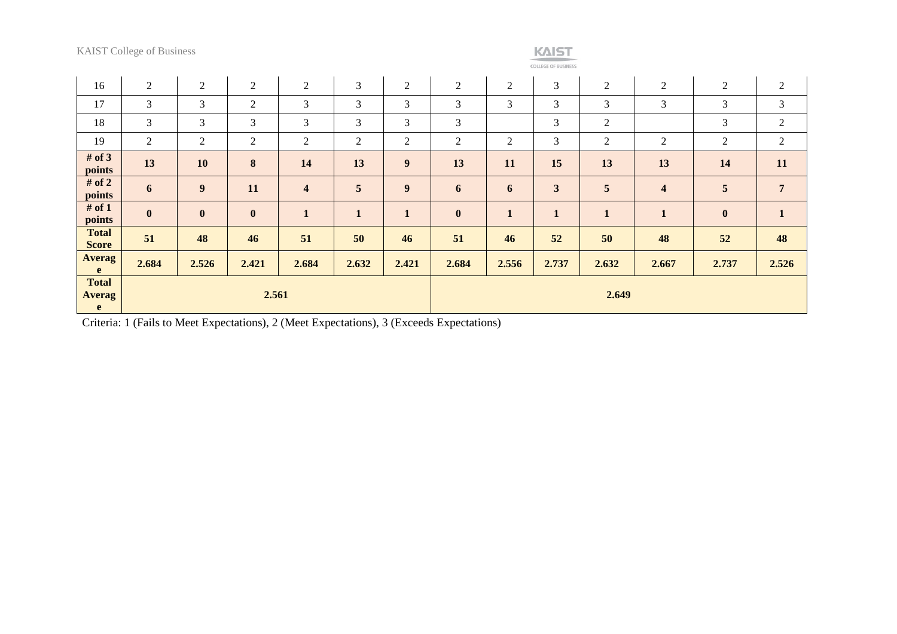|                                    | <b>KAIST College of Business</b> |                  |                |                         |                  |                |                  |                | <b>KAIST</b><br><b>COLLEGE OF BUSINESS</b> |                |                         |                |                |
|------------------------------------|----------------------------------|------------------|----------------|-------------------------|------------------|----------------|------------------|----------------|--------------------------------------------|----------------|-------------------------|----------------|----------------|
| 16                                 | $\overline{2}$                   | $\boldsymbol{2}$ | $\overline{2}$ | $\overline{2}$          | $\mathfrak{Z}$   | $\overline{2}$ | $\boldsymbol{2}$ | $\overline{2}$ | $\mathfrak{Z}$                             | $\sqrt{2}$     | $\sqrt{2}$              | $\overline{2}$ | $\overline{c}$ |
| 17                                 | 3                                | 3                | $\overline{2}$ | 3                       | 3                | 3              | $\mathfrak{Z}$   | 3              | 3                                          | 3              | 3                       | 3              | $\mathfrak{Z}$ |
| 18                                 | 3                                | 3                | 3              | 3                       | $\overline{3}$   | 3              | 3                |                | 3                                          | $\mathfrak{2}$ |                         | 3              | 2              |
| 19                                 | $\overline{2}$                   | $\overline{2}$   | 2              | $\sqrt{2}$              | $\boldsymbol{2}$ | $\overline{c}$ | $\overline{2}$   | $\overline{2}$ | 3                                          | $\overline{2}$ | $\mathfrak{2}$          | $\overline{2}$ | $\overline{c}$ |
| # of $3$<br>points                 | 13                               | 10               | $\bf{8}$       | 14                      | 13               | 9              | 13               | 11             | 15                                         | 13             | 13                      | 14             | 11             |
| # of $2$<br>points                 | $\boldsymbol{6}$                 | 9                | 11             | $\overline{\mathbf{4}}$ | 5                | 9              | $\boldsymbol{6}$ | 6              | 3                                          | 5              | $\overline{\mathbf{4}}$ | 5              | $\overline{7}$ |
| # of $1$<br>points                 | $\mathbf{0}$                     | $\bf{0}$         | $\mathbf{0}$   | $\mathbf{1}$            | $\mathbf{1}$     | $\mathbf{1}$   | $\bf{0}$         | $\mathbf{1}$   | $\mathbf{1}$                               | $\mathbf{1}$   | $\mathbf{1}$            | $\bf{0}$       | $\mathbf{1}$   |
| <b>Total</b><br><b>Score</b>       | 51                               | 48               | 46             | 51                      | 50               | 46             | 51               | 46             | 52                                         | 50             | 48                      | 52             | 48             |
| <b>Averag</b><br>e                 | 2.684                            | 2.526            | 2.421          | 2.684                   | 2.632            | 2.421          | 2.684            | 2.556          | 2.737                                      | 2.632          | 2.667                   | 2.737          | 2.526          |
| <b>Total</b><br><b>Averag</b><br>e |                                  |                  | 2.561          |                         |                  |                |                  |                |                                            | 2.649          |                         |                |                |

Criteria: 1 (Fails to Meet Expectations), 2 (Meet Expectations), 3 (Exceeds Expectations)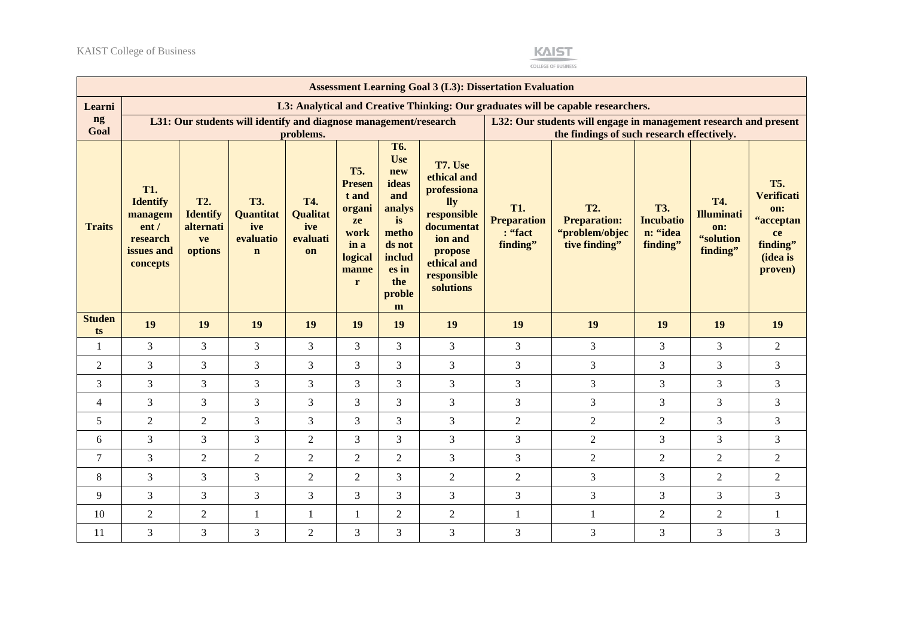

COLLEGE OF BUSINESS

|                     |                                                                                        | <b>Assessment Learning Goal 3 (L3): Dissertation Evaluation</b> |                                                                   |                                                        |                                                                                               |                                                                                                               |                                                                                                                                                   |                                                                                                                |                                                                                  |                                                        |                                                                 |                                                                                              |
|---------------------|----------------------------------------------------------------------------------------|-----------------------------------------------------------------|-------------------------------------------------------------------|--------------------------------------------------------|-----------------------------------------------------------------------------------------------|---------------------------------------------------------------------------------------------------------------|---------------------------------------------------------------------------------------------------------------------------------------------------|----------------------------------------------------------------------------------------------------------------|----------------------------------------------------------------------------------|--------------------------------------------------------|-----------------------------------------------------------------|----------------------------------------------------------------------------------------------|
| Learni              |                                                                                        |                                                                 |                                                                   |                                                        |                                                                                               |                                                                                                               |                                                                                                                                                   |                                                                                                                | L3: Analytical and Creative Thinking: Our graduates will be capable researchers. |                                                        |                                                                 |                                                                                              |
| ng<br>Goal          |                                                                                        |                                                                 | L31: Our students will identify and diagnose management/research  |                                                        |                                                                                               |                                                                                                               |                                                                                                                                                   | L32: Our students will engage in management research and present<br>the findings of such research effectively. |                                                                                  |                                                        |                                                                 |                                                                                              |
|                     |                                                                                        |                                                                 |                                                                   | problems.                                              |                                                                                               | <b>T6.</b>                                                                                                    |                                                                                                                                                   |                                                                                                                |                                                                                  |                                                        |                                                                 |                                                                                              |
| <b>Traits</b>       | <b>T1.</b><br><b>Identify</b><br>managem<br>ent/<br>research<br>issues and<br>concepts | <b>T2.</b><br><b>Identify</b><br>alternati<br>ve<br>options     | <b>T3.</b><br><b>Quantitat</b><br>ive<br>evaluatio<br>$\mathbf n$ | <b>T4.</b><br><b>Qualitat</b><br>ive<br>evaluati<br>on | <b>T5.</b><br><b>Presen</b><br>t and<br>organi<br>ze<br>work<br>in a<br>logical<br>manne<br>r | <b>Use</b><br>new<br>ideas<br>and<br>analys<br>is<br>metho<br>ds not<br>includ<br>es in<br>the<br>proble<br>m | T7. Use<br>ethical and<br>professiona<br><b>lly</b><br>responsible<br>documentat<br>ion and<br>propose<br>ethical and<br>responsible<br>solutions | <b>T1.</b><br><b>Preparation</b><br>: "fact<br>finding"                                                        | <b>T2.</b><br><b>Preparation:</b><br>"problem/objec<br>tive finding"             | <b>T3.</b><br><b>Incubatio</b><br>n: "idea<br>finding" | <b>T4.</b><br><b>Illuminati</b><br>on:<br>"solution<br>finding" | <b>T5.</b><br><b>Verificati</b><br>on:<br>"acceptan<br>ce<br>finding"<br>(idea is<br>proven) |
|                     |                                                                                        |                                                                 |                                                                   |                                                        |                                                                                               |                                                                                                               |                                                                                                                                                   |                                                                                                                |                                                                                  |                                                        |                                                                 |                                                                                              |
| <b>Studen</b><br>ts | 19                                                                                     | 19                                                              | 19                                                                | 19                                                     | 19                                                                                            | 19                                                                                                            | 19                                                                                                                                                | 19                                                                                                             | 19                                                                               | 19                                                     | 19                                                              | 19                                                                                           |
| 1                   | 3                                                                                      | 3                                                               | $\overline{3}$                                                    | 3                                                      | $\overline{3}$                                                                                | $\overline{3}$                                                                                                | 3                                                                                                                                                 | 3                                                                                                              | $\overline{3}$                                                                   | $\overline{3}$                                         | $\overline{3}$                                                  | $\overline{2}$                                                                               |
| $\overline{2}$      | 3                                                                                      | 3                                                               | $\overline{3}$                                                    | 3                                                      | $\overline{3}$                                                                                | 3                                                                                                             | 3                                                                                                                                                 | 3                                                                                                              | $\overline{3}$                                                                   | 3                                                      | 3                                                               | 3                                                                                            |
| 3                   | 3                                                                                      | 3                                                               | $\mathfrak{Z}$                                                    | 3                                                      | $\overline{3}$                                                                                | $\overline{3}$                                                                                                | 3                                                                                                                                                 | 3                                                                                                              | $\overline{3}$                                                                   | $\overline{3}$                                         | 3                                                               | 3                                                                                            |
| 4                   | 3                                                                                      | 3                                                               | $\overline{3}$                                                    | 3                                                      | $\overline{3}$                                                                                | $\overline{3}$                                                                                                | 3                                                                                                                                                 | 3                                                                                                              | $\overline{3}$                                                                   | 3                                                      | 3                                                               | 3                                                                                            |
| 5                   | $\overline{c}$                                                                         | $\overline{2}$                                                  | $\mathfrak{Z}$                                                    | 3                                                      | 3                                                                                             | 3                                                                                                             | 3                                                                                                                                                 | $\overline{2}$                                                                                                 | $\overline{2}$                                                                   | $\overline{c}$                                         | 3                                                               | 3                                                                                            |
| 6                   | 3                                                                                      | 3                                                               | $\mathfrak{Z}$                                                    | $\overline{2}$                                         | $\overline{3}$                                                                                | 3                                                                                                             | 3                                                                                                                                                 | 3                                                                                                              | $\overline{2}$                                                                   | 3                                                      | 3                                                               | 3                                                                                            |
| 7                   | 3                                                                                      | $\overline{2}$                                                  | $\overline{2}$                                                    | $\overline{2}$                                         | $\overline{2}$                                                                                | $\overline{2}$                                                                                                | 3                                                                                                                                                 | 3                                                                                                              | $\overline{2}$                                                                   | $\overline{2}$                                         | 2                                                               | $\overline{2}$                                                                               |
| 8                   | 3                                                                                      | 3                                                               | $\overline{3}$                                                    | $\overline{2}$                                         | 2                                                                                             | 3                                                                                                             | $\sqrt{2}$                                                                                                                                        | $\overline{2}$                                                                                                 | $\overline{3}$                                                                   | 3                                                      | $\overline{2}$                                                  | $\overline{2}$                                                                               |
| 9                   | 3                                                                                      | 3                                                               | $\mathfrak{Z}$                                                    | 3                                                      | 3                                                                                             | 3                                                                                                             | 3                                                                                                                                                 | 3                                                                                                              | $\overline{3}$                                                                   | 3                                                      | 3                                                               | 3                                                                                            |
| 10                  | $\overline{c}$                                                                         | $\overline{c}$                                                  | $\mathbf{1}$                                                      | 1                                                      | $\mathbf{1}$                                                                                  | $\overline{2}$                                                                                                | $\boldsymbol{2}$                                                                                                                                  | $\mathbf{1}$                                                                                                   | $\mathbf{1}$                                                                     | $\overline{2}$                                         | $\overline{2}$                                                  | $\mathbf{1}$                                                                                 |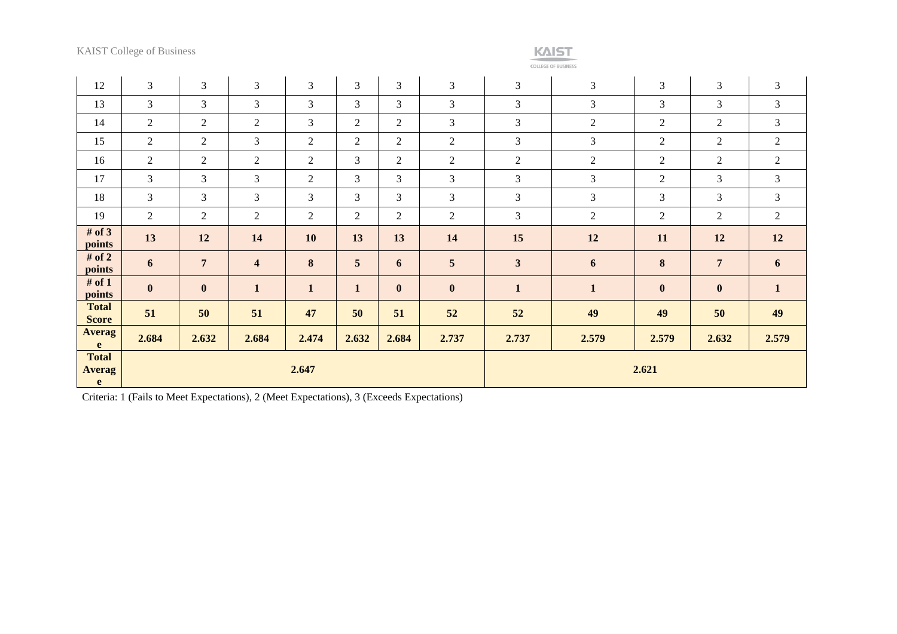KAIST College of Business



COLLEGE OF BUSINESS

| 12                           | 3                | 3              | $\mathfrak{Z}$          | 3              | $\mathfrak{Z}$  | $\mathfrak{Z}$ | $\mathfrak{Z}$   | 3                       | 3              | 3                | 3                | $\mathfrak{Z}$ |
|------------------------------|------------------|----------------|-------------------------|----------------|-----------------|----------------|------------------|-------------------------|----------------|------------------|------------------|----------------|
| 13                           | 3                | 3              | 3                       | 3              | $\overline{3}$  | $\overline{3}$ | 3                | $\mathfrak{Z}$          | 3              | 3                | 3                | 3              |
| 14                           | $\mathfrak{2}$   | $\overline{2}$ | $\overline{2}$          | 3              | $\overline{2}$  | $\mathfrak{2}$ | $\mathfrak{Z}$   | $\overline{3}$          | 2              | $\overline{c}$   | $\overline{2}$   | 3              |
| 15                           | 2                | $\overline{2}$ | 3                       | $\overline{2}$ | 2               | $\overline{2}$ | $\overline{2}$   | 3                       | $\mathfrak{Z}$ | $\overline{2}$   | $\overline{2}$   | $\overline{2}$ |
| 16                           | 2                | $\overline{2}$ | $\overline{2}$          | $\overline{c}$ | 3               | 2              | $\mathfrak{2}$   | $\mathbf{2}$            | 2              | $\overline{2}$   | $\overline{2}$   | 2              |
| 17                           | 3                | $\overline{3}$ | 3                       | $\overline{c}$ | $\overline{3}$  | 3              | 3                | 3                       | 3              | $\overline{c}$   | 3                | 3              |
| 18                           | 3                | 3              | 3                       | 3              | $\overline{3}$  | 3              | $\mathfrak{Z}$   | 3                       | 3              | 3                | $\mathfrak{Z}$   | 3              |
| 19                           | $\mathfrak{2}$   | $\overline{2}$ | $\overline{2}$          | $\overline{2}$ | $\overline{2}$  | $\overline{2}$ | $\sqrt{2}$       | $\overline{3}$          | $\overline{2}$ | $\boldsymbol{2}$ | $\overline{2}$   | $\sqrt{2}$     |
| # of $3$                     |                  |                |                         |                |                 |                |                  |                         |                |                  |                  |                |
| points                       | 13               | 12             | 14                      | 10             | 13              | 13             | 14               | 15                      | 12             | 11               | 12               | 12             |
| # of $2$<br>points           | 6                | $\overline{7}$ | $\overline{\mathbf{4}}$ | 8              | $5\overline{)}$ | 6              | $5\overline{)}$  | $\overline{\mathbf{3}}$ | 6              | $\bf{8}$         | $\overline{7}$   | 6              |
| # of $1$<br>points           | $\boldsymbol{0}$ | $\bf{0}$       | $\mathbf{1}$            | $\mathbf{1}$   | $\mathbf{1}$    | $\bf{0}$       | $\boldsymbol{0}$ | $\mathbf{1}$            | $\mathbf{1}$   | $\boldsymbol{0}$ | $\boldsymbol{0}$ | $\mathbf{1}$   |
| <b>Total</b><br><b>Score</b> | 51               | 50             | 51                      | 47             | 50              | 51             | 52               | 52                      | 49             | 49               | 50               | 49             |
| <b>Averag</b><br>e           | 2.684            | 2.632          | 2.684                   | 2.474          | 2.632           | 2.684          | 2.737            | 2.737                   | 2.579          | 2.579            | 2.632            | 2.579          |

Criteria: 1 (Fails to Meet Expectations), 2 (Meet Expectations), 3 (Exceeds Expectations)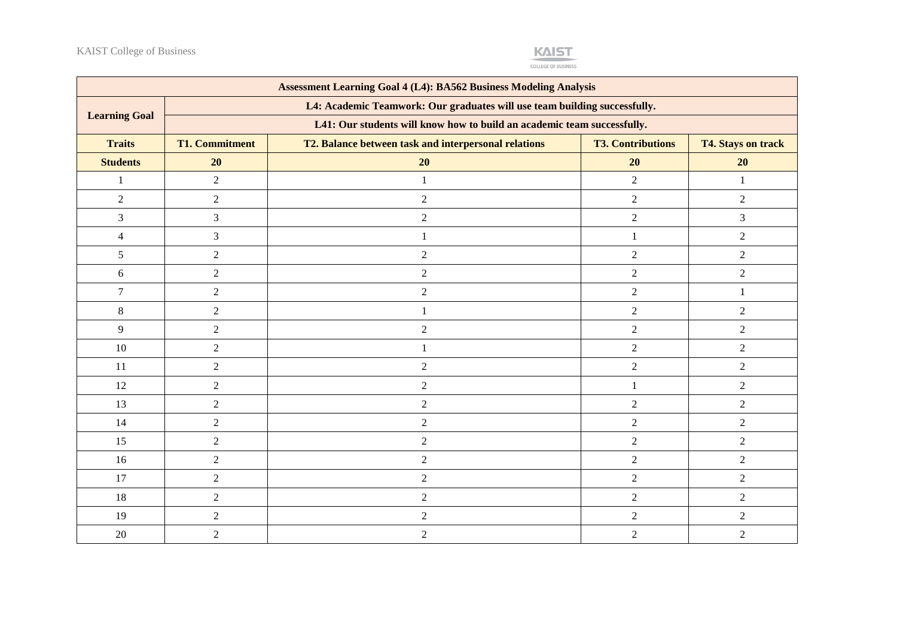

COLLEGE OF BUSINESS

| <b>Assessment Learning Goal 4 (L4): BA562 Business Modeling Analysis</b> |                                                                           |                                                      |                          |                           |  |  |
|--------------------------------------------------------------------------|---------------------------------------------------------------------------|------------------------------------------------------|--------------------------|---------------------------|--|--|
| <b>Learning Goal</b>                                                     | L4: Academic Teamwork: Our graduates will use team building successfully. |                                                      |                          |                           |  |  |
|                                                                          | L41: Our students will know how to build an academic team successfully.   |                                                      |                          |                           |  |  |
| <b>Traits</b>                                                            | <b>T1. Commitment</b>                                                     | T2. Balance between task and interpersonal relations | <b>T3. Contributions</b> | <b>T4. Stays on track</b> |  |  |
| <b>Students</b>                                                          | 20                                                                        | 20                                                   | 20                       | 20                        |  |  |
| $\mathbf{1}$                                                             | $\overline{2}$                                                            | $\mathbf{1}$                                         | $\overline{2}$           | 1                         |  |  |
| $\overline{2}$                                                           | $\overline{2}$                                                            | $\overline{2}$                                       | $\overline{2}$           | $\overline{2}$            |  |  |
| 3                                                                        | $\mathfrak{Z}$                                                            | $\sqrt{2}$                                           | $\overline{2}$           | 3                         |  |  |
| $\overline{4}$                                                           | $\mathfrak{Z}$                                                            | 1                                                    | 1                        | $\overline{2}$            |  |  |
| 5                                                                        | $\sqrt{2}$                                                                | $\sqrt{2}$                                           | $\overline{2}$           | $\overline{2}$            |  |  |
| 6                                                                        | $\overline{2}$                                                            | $\sqrt{2}$                                           | $\overline{2}$           | $\overline{2}$            |  |  |
| $\overline{7}$                                                           | $\overline{2}$                                                            | $\overline{2}$                                       | $\overline{2}$           |                           |  |  |
| 8                                                                        | $\overline{2}$                                                            | 1                                                    | $\overline{2}$           | 2                         |  |  |
| 9                                                                        | $\overline{2}$                                                            | $\overline{2}$                                       | $\overline{2}$           | 2                         |  |  |
| 10                                                                       | $\overline{2}$                                                            | 1                                                    | $\overline{2}$           | 2                         |  |  |
| 11                                                                       | $\overline{2}$                                                            | $\overline{2}$                                       | $\overline{2}$           | $\overline{2}$            |  |  |
| 12                                                                       | $\overline{2}$                                                            | $\sqrt{2}$                                           | $\mathbf{1}$             | 2                         |  |  |
| 13                                                                       | $\sqrt{2}$                                                                | $\overline{2}$                                       | $\overline{2}$           | $\overline{2}$            |  |  |
| 14                                                                       | $\sqrt{2}$                                                                | $\sqrt{2}$                                           | $\overline{2}$           | $\overline{2}$            |  |  |
| 15                                                                       | $\sqrt{2}$                                                                | $\boldsymbol{2}$                                     | $\overline{2}$           | $\overline{2}$            |  |  |
| 16                                                                       | $\overline{2}$                                                            | $\sqrt{2}$                                           | $\overline{2}$           | $\overline{2}$            |  |  |
| 17                                                                       | $\overline{2}$                                                            | $\sqrt{2}$                                           | $\overline{2}$           | $\overline{2}$            |  |  |
| 18                                                                       | $\overline{2}$                                                            | $\sqrt{2}$                                           | $\overline{2}$           | $\overline{2}$            |  |  |
| 19                                                                       | $\overline{2}$                                                            | $\overline{2}$                                       | $\overline{2}$           | $\overline{2}$            |  |  |
| 20                                                                       | $\overline{2}$                                                            | $\overline{2}$                                       | $\overline{2}$           | $\overline{2}$            |  |  |